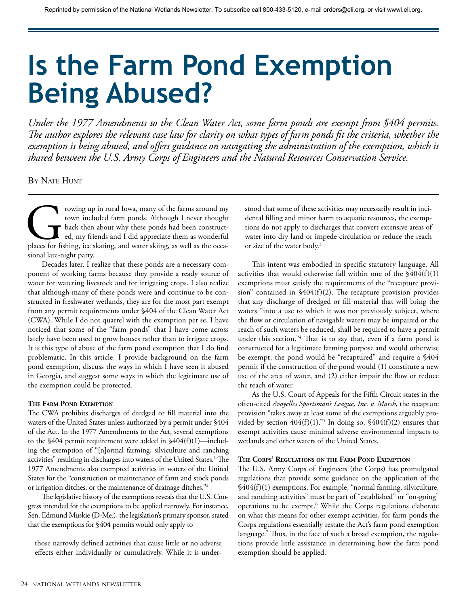# **Is the Farm Pond Exemption Being Abused?**

*Under the 1977 Amendments to the Clean Water Act, some farm ponds are exempt from §404 permits. The author explores the relevant case law for clarity on what types of farm ponds fit the criteria, whether the exemption is being abused, and offers guidance on navigating the administration of the exemption, which is shared between the U.S. Army Corps of Engineers and the Natural Resources Conservation Service.*

BY NATE HUNT

Frowing up in rural Iowa, many of the farms around my<br>town included farm ponds. Although I never thought<br>back then about why these ponds had been construct-<br>ed, my friends and I did appreciate them as wonderful<br>places for town included farm ponds. Although I never thought back then about why these ponds had been constructed, my friends and I did appreciate them as wonderful sional late-night party.

Decades later, I realize that these ponds are a necessary component of working farms because they provide a ready source of water for watering livestock and for irrigating crops. I also realize that although many of these ponds were and continue to be constructed in freshwater wetlands, they are for the most part exempt from any permit requirements under §404 of the Clean Water Act (CWA). While I do not quarrel with the exemption per se, I have noticed that some of the "farm ponds" that I have come across lately have been used to grow houses rather than to irrigate crops. It is this type of abuse of the farm pond exemption that I do find problematic. In this article, I provide background on the farm pond exemption, discuss the ways in which I have seen it abused in Georgia, and suggest some ways in which the legitimate use of the exemption could be protected.

# **The Farm Pond Exemption**

The CWA prohibits discharges of dredged or fill material into the waters of the United States unless authorized by a permit under §404 of the Act. In the 1977 Amendments to the Act, several exemptions to the §404 permit requirement were added in §404(f)(1)—including the exemption of "[n]ormal farming, silviculture and ranching activities" resulting in discharges into waters of the United States.1 The 1977 Amendments also exempted activities in waters of the United States for the "construction or maintenance of farm and stock ponds or irrigation ditches, or the maintenance of drainage ditches."2

The legislative history of the exemptions reveals that the U.S. Congress intended for the exemptions to be applied narrowly. For instance, Sen. Edmund Muskie (D-Me.), the legislation's primary sponsor, stated that the exemptions for §404 permits would only apply to

those narrowly defined activities that cause little or no adverse effects either individually or cumulatively. While it is understood that some of these activities may necessarily result in incidental filling and minor harm to aquatic resources, the exemptions do not apply to discharges that convert extensive areas of water into dry land or impede circulation or reduce the reach or size of the water body.3

This intent was embodied in specific statutory language. All activities that would otherwise fall within one of the  $\frac{6404(f)}{1}$ exemptions must satisfy the requirements of the "recapture provision" contained in  $\frac{6404(f)}{2}$ . The recapture provision provides that any discharge of dredged or fill material that will bring the waters "into a use to which it was not previously subject, where the flow or circulation of navigable waters may be impaired or the reach of such waters be reduced, shall be required to have a permit under this section."4 That is to say that, even if a farm pond is constructed for a legitimate farming purpose and would otherwise be exempt, the pond would be "recaptured" and require a §404 permit if the construction of the pond would (1) constitute a new use of the area of water, and (2) either impair the flow or reduce the reach of water.

As the U.S. Court of Appeals for the Fifth Circuit states in the often-cited *Avoyelles Sportsman's League, Inc. v. Marsh*, the recapture provision "takes away at least some of the exemptions arguably provided by section  $404(f)(1)$ ."<sup>5</sup> In doing so,  $$404(f)(2)$  ensures that exempt activities cause minimal adverse environmental impacts to wetlands and other waters of the United States.

# **The Corps' Regulations on the Farm Pond Exemption**

The U.S. Army Corps of Engineers (the Corps) has promulgated regulations that provide some guidance on the application of the §404(f)(1) exemptions. For example, "normal farming, silviculture, and ranching activities" must be part of "established" or "on-going" operations to be exempt.6 While the Corps regulations elaborate on what this means for other exempt activities, for farm ponds the Corps regulations essentially restate the Act's farm pond exemption language.7 Thus, in the face of such a broad exemption, the regulations provide little assistance in determining how the farm pond exemption should be applied.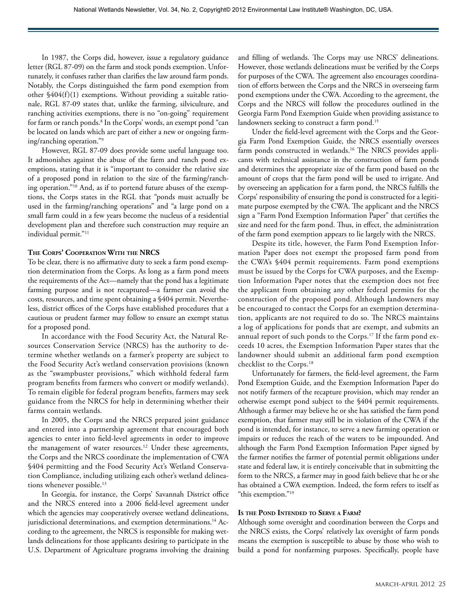In 1987, the Corps did, however, issue a regulatory guidance letter (RGL 87-09) on the farm and stock ponds exemption. Unfortunately, it confuses rather than clarifies the law around farm ponds. Notably, the Corps distinguished the farm pond exemption from other §404(f)(1) exemptions. Without providing a suitable rationale, RGL 87-09 states that, unlike the farming, silviculture, and ranching activities exemptions, there is no "on-going" requirement for farm or ranch ponds.8 In the Corps' words, an exempt pond "can be located on lands which are part of either a new or ongoing farming/ranching operation."9

However, RGL 87-09 does provide some useful language too. It admonishes against the abuse of the farm and ranch pond exemptions, stating that it is "important to consider the relative size of a proposed pond in relation to the size of the farming/ranching operation."10 And, as if to portend future abuses of the exemptions, the Corps states in the RGL that "ponds must actually be used in the farming/ranching operations" and "a large pond on a small farm could in a few years become the nucleus of a residential development plan and therefore such construction may require an individual permit."11

# **The Corps' Cooperation With the NRCS**

To be clear, there is no affirmative duty to seek a farm pond exemption determination from the Corps. As long as a farm pond meets the requirements of the Act—namely that the pond has a legitimate farming purpose and is not recaptured—a farmer can avoid the costs, resources, and time spent obtaining a §404 permit. Nevertheless, district offices of the Corps have established procedures that a cautious or prudent farmer may follow to ensure an exempt status for a proposed pond.

In accordance with the Food Security Act, the Natural Resources Conservation Service (NRCS) has the authority to determine whether wetlands on a farmer's property are subject to the Food Security Act's wetland conservation provisions (known as the "swampbuster provisions," which withhold federal farm program benefits from farmers who convert or modify wetlands). To remain eligible for federal program benefits, farmers may seek guidance from the NRCS for help in determining whether their farms contain wetlands.

In 2005, the Corps and the NRCS prepared joint guidance and entered into a partnership agreement that encouraged both agencies to enter into field-level agreements in order to improve the management of water resources.<sup>12</sup> Under these agreements, the Corps and the NRCS coordinate the implementation of CWA §404 permitting and the Food Security Act's Wetland Conservation Compliance, including utilizing each other's wetland delineations whenever possible.<sup>13</sup>

In Georgia, for instance, the Corps' Savannah District office and the NRCS entered into a 2006 field-level agreement under which the agencies may cooperatively oversee wetland delineations, jurisdictional determinations, and exemption determinations.<sup>14</sup> According to the agreement, the NRCS is responsible for making wetlands delineations for those applicants desiring to participate in the U.S. Department of Agriculture programs involving the draining and filling of wetlands. The Corps may use NRCS' delineations. However, those wetlands delineations must be verified by the Corps for purposes of the CWA. The agreement also encourages coordination of efforts between the Corps and the NRCS in overseeing farm pond exemptions under the CWA. According to the agreement, the Corps and the NRCS will follow the procedures outlined in the Georgia Farm Pond Exemption Guide when providing assistance to landowners seeking to construct a farm pond.<sup>15</sup>

Under the field-level agreement with the Corps and the Georgia Farm Pond Exemption Guide, the NRCS essentially oversees farm ponds constructed in wetlands.<sup>16</sup> The NRCS provides applicants with technical assistance in the construction of farm ponds and determines the appropriate size of the farm pond based on the amount of crops that the farm pond will be used to irrigate. And by overseeing an application for a farm pond, the NRCS fulfills the Corps' responsibility of ensuring the pond is constructed for a legitimate purpose exempted by the CWA. The applicant and the NRCS sign a "Farm Pond Exemption Information Paper" that certifies the size and need for the farm pond. Thus, in effect, the administration of the farm pond exemption appears to lie largely with the NRCS.

Despite its title, however, the Farm Pond Exemption Information Paper does not exempt the proposed farm pond from the CWA's §404 permit requirements. Farm pond exemptions must be issued by the Corps for CWA purposes, and the Exemption Information Paper notes that the exemption does not free the applicant from obtaining any other federal permits for the construction of the proposed pond. Although landowners may be encouraged to contact the Corps for an exemption determination, applicants are not required to do so. The NRCS maintains a log of applications for ponds that are exempt, and submits an annual report of such ponds to the Corps.<sup>17</sup> If the farm pond exceeds 10 acres, the Exemption Information Paper states that the landowner should submit an additional farm pond exemption checklist to the Corps.18

Unfortunately for farmers, the field-level agreement, the Farm Pond Exemption Guide, and the Exemption Information Paper do not notify farmers of the recapture provision, which may render an otherwise exempt pond subject to the §404 permit requirements. Although a farmer may believe he or she has satisfied the farm pond exemption, that farmer may still be in violation of the CWA if the pond is intended, for instance, to serve a new farming operation or impairs or reduces the reach of the waters to be impounded. And although the Farm Pond Exemption Information Paper signed by the farmer notifies the farmer of potential permit obligations under state and federal law, it is entirely conceivable that in submitting the form to the NRCS, a farmer may in good faith believe that he or she has obtained a CWA exemption. Indeed, the form refers to itself as "this exemption."19

### **Is the Pond Intended to Serve a Farm?**

Although some oversight and coordination between the Corps and the NRCS exists, the Corps' relatively lax oversight of farm ponds means the exemption is susceptible to abuse by those who wish to build a pond for nonfarming purposes. Specifically, people have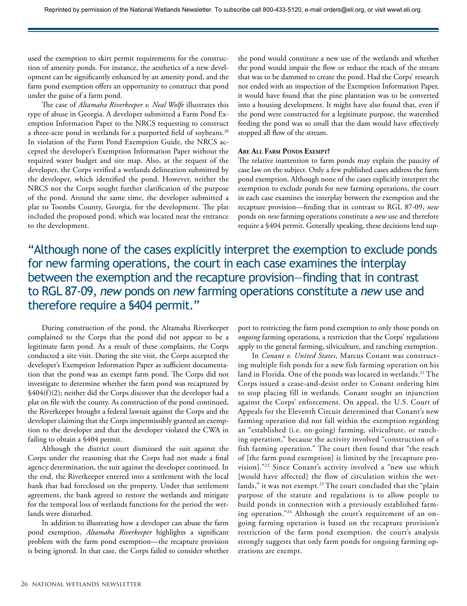used the exemption to skirt permit requirements for the construction of amenity ponds. For instance, the aesthetics of a new development can be significantly enhanced by an amenity pond, and the farm pond exemption offers an opportunity to construct that pond under the guise of a farm pond.

The case of *Altamaha Riverkeeper v. Neal Wolfe* illustrates this type of abuse in Georgia. A developer submitted a Farm Pond Exemption Information Paper to the NRCS requesting to construct a three-acre pond in wetlands for a purported field of soybeans.<sup>20</sup> In violation of the Farm Pond Exemption Guide, the NRCS accepted the developer's Exemption Information Paper without the required water budget and site map. Also, at the request of the developer, the Corps verified a wetlands delineation submitted by the developer, which identified the pond. However, neither the NRCS nor the Corps sought further clarification of the purpose of the pond. Around the same time, the developer submitted a plat to Toombs County, Georgia, for the development. The plat included the proposed pond, which was located near the entrance to the development.

the pond would constitute a new use of the wetlands and whether the pond would impair the flow or reduce the reach of the stream that was to be dammed to create the pond. Had the Corps' research not ended with an inspection of the Exemption Information Paper, it would have found that the pine plantation was to be converted into a housing development. It might have also found that, even if the pond were constructed for a legitimate purpose, the watershed feeding the pond was so small that the dam would have effectively stopped all flow of the stream.

# **Are All Farm Ponds Exempt?**

The relative inattention to farm ponds may explain the paucity of case law on the subject. Only a few published cases address the farm pond exemption. Although none of the cases explicitly interpret the exemption to exclude ponds for new farming operations, the court in each case examines the interplay between the exemption and the recapture provision—finding that in contrast to RGL 87-09, *new* ponds on *new* farming operations constitute a *new* use and therefore require a §404 permit. Generally speaking, these decisions lend sup-

"Although none of the cases explicitly interpret the exemption to exclude ponds for new farming operations, the court in each case examines the interplay between the exemption and the recapture provision—finding that in contrast to RGL 87-09, *new* ponds on *new* farming operations constitute a *new* use and therefore require a §404 permit."

During construction of the pond, the Altamaha Riverkeeper complained to the Corps that the pond did not appear to be a legitimate farm pond. As a result of these complaints, the Corps conducted a site visit. During the site visit, the Corps accepted the developer's Exemption Information Paper as sufficient documentation that the pond was an exempt farm pond. The Corps did not investigate to determine whether the farm pond was recaptured by §404(f)(2); neither did the Corps discover that the developer had a plat on file with the county. As construction of the pond continued, the Riverkeeper brought a federal lawsuit against the Corps and the developer claiming that the Corps impermissibly granted an exemption to the developer and that the developer violated the CWA in failing to obtain a §404 permit.

Although the district court dismissed the suit against the Corps under the reasoning that the Corps had not made a final agency determination, the suit against the developer continued. In the end, the Riverkeeper entered into a settlement with the local bank that had foreclosed on the property. Under that settlement agreement, the bank agreed to restore the wetlands and mitigate for the temporal loss of wetlands functions for the period the wetlands were disturbed.

In addition to illustrating how a developer can abuse the farm pond exemption, *Altamaha Riverkeeper* highlights a significant problem with the farm pond exemption—the recapture provision is being ignored. In that case, the Corps failed to consider whether port to restricting the farm pond exemption to only those ponds on *ongoing* farming operations, a restriction that the Corps' regulations apply to the general farming, silviculture, and ranching exemption.

In *Conant v. United States*, Marcus Conant was constructing multiple fish ponds for a new fish farming operation on his land in Florida. One of the ponds was located in wetlands.<sup>21</sup> The Corps issued a cease-and-desist order to Conant ordering him to stop placing fill in wetlands. Conant sought an injunction against the Corps' enforcement. On appeal, the U.S. Court of Appeals for the Eleventh Circuit determined that Conant's new farming operation did not fall within the exemption regarding an "established (i.e. on-going) farming, silviculture, or ranching operation," because the activity involved "construction of a fish farming operation." The court then found that "the reach of [the farm pond exemption] is limited by the [recapture provision]."22 Since Conant's activity involved a "new use which [would have affected] the flow of circulation within the wetlands," it was not exempt.<sup>23</sup> The court concluded that the "plain purpose of the statute and regulations is to allow people to build ponds in connection with a previously established farming operation."24 Although the court's requirement of an ongoing farming operation is based on the recapture provision's restriction of the farm pond exemption, the court's analysis strongly suggests that only farm ponds for ongoing farming operations are exempt.